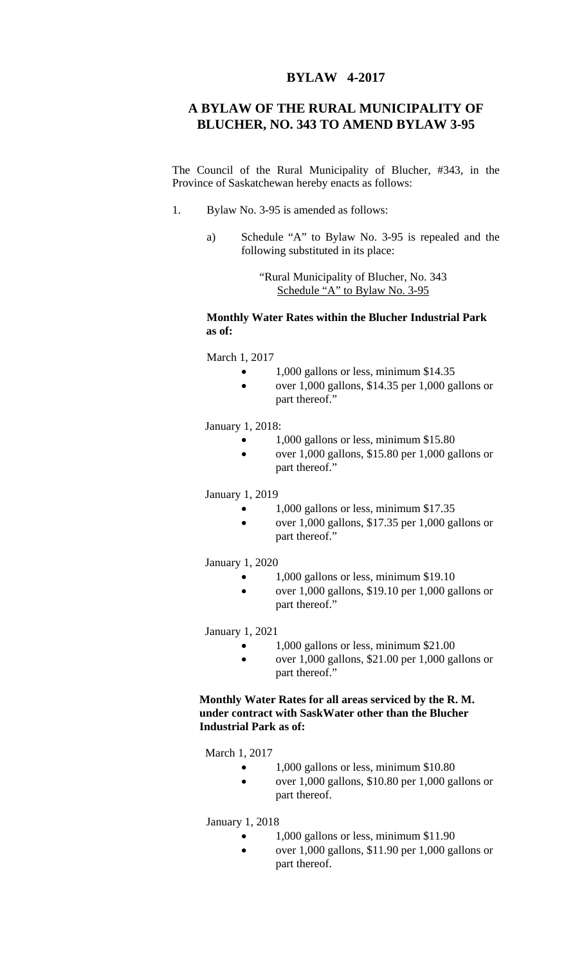## **BYLAW 4-2017**

## **A BYLAW OF THE RURAL MUNICIPALITY OF BLUCHER, NO. 343 TO AMEND BYLAW 3-95**

The Council of the Rural Municipality of Blucher, #343, in the Province of Saskatchewan hereby enacts as follows:

- 1. Bylaw No. 3-95 is amended as follows:
	- a) Schedule "A" to Bylaw No. 3-95 is repealed and the following substituted in its place:

"Rural Municipality of Blucher, No. 343 Schedule "A" to Bylaw No. 3-95

## **Monthly Water Rates within the Blucher Industrial Park as of:**

March 1, 2017

- 1,000 gallons or less, minimum \$14.35
- over 1,000 gallons, \$14.35 per 1,000 gallons or part thereof."

January 1, 2018:

- 1,000 gallons or less, minimum \$15.80
- over 1,000 gallons, \$15.80 per 1,000 gallons or part thereof."

January 1, 2019

- 1,000 gallons or less, minimum \$17.35
- $\bullet$  over 1,000 gallons, \$17.35 per 1,000 gallons or part thereof."

January 1, 2020

- 1,000 gallons or less, minimum \$19.10
- over 1,000 gallons, \$19.10 per 1,000 gallons or part thereof."

January 1, 2021

- 1,000 gallons or less, minimum \$21.00
- $\bullet$  over 1,000 gallons, \$21.00 per 1,000 gallons or part thereof."

**Monthly Water Rates for all areas serviced by the R. M. under contract with SaskWater other than the Blucher Industrial Park as of:** 

March 1, 2017

- 1,000 gallons or less, minimum \$10.80
- over 1,000 gallons, \$10.80 per 1,000 gallons or part thereof.

January 1, 2018

- 1,000 gallons or less, minimum \$11.90
- over 1,000 gallons, \$11.90 per 1,000 gallons or part thereof.